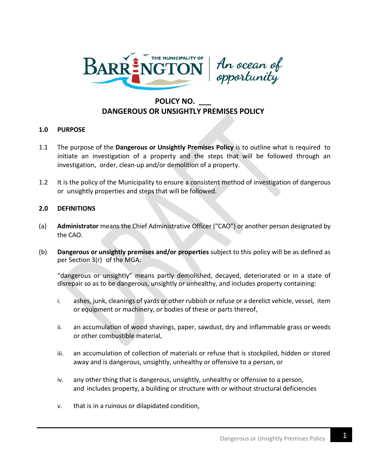



# **POLICY NO. \_\_\_ DANGEROUS OR UNSIGHTLY PREMISES POLICY**

### **1.0 PURPOSE**

- 1.1 The purpose of the **Dangerous or Unsightly Premises Policy** is to outline what is required to initiate an investigation of a property and the steps that will be followed through an investigation, order, clean-up and/or demolition of a property.
- 1.2 It is the policy of the Municipality to ensure a consistent method of investigation of dangerous or unsightly properties and steps that will be followed.

# **2.0 DEFINITIONS**

- (a) **Administrator** means the Chief Administrative Officer ("CAO") or another person designated by the CAO.
- (b) **Dangerous or unsightly premises and/or properties** subject to this policy will be as defined as per Section 3(r) of the MGA:

"dangerous or unsightly" means partly demolished, decayed, deteriorated or in a state of disrepair so as to be dangerous, unsightly or unhealthy, and includes property containing:

- i. ashes, junk, cleanings of yards or other rubbish or refuse or a derelict vehicle, vessel, item or equipment or machinery, or bodies of these or parts thereof,
- ii. an accumulation of wood shavings, paper, sawdust, dry and inflammable grass or weeds or other combustible material,
- iii. an accumulation of collection of materials or refuse that is stockpiled, hidden or stored away and is dangerous, unsightly, unhealthy or offensive to a person, or
- iv. any other thing that is dangerous, unsightly, unhealthy or offensive to a person, and includes property, a building or structure with or without structural deficiencies
- v. that is in a ruinous or dilapidated condition,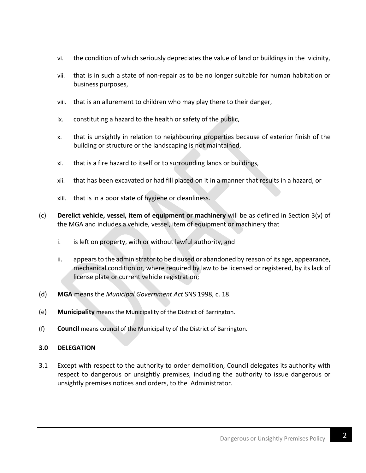- vi. the condition of which seriously depreciates the value of land or buildings in the vicinity,
- vii. that is in such a state of non-repair as to be no longer suitable for human habitation or business purposes,
- viii. that is an allurement to children who may play there to their danger,
- ix. constituting a hazard to the health or safety of the public,
- x. that is unsightly in relation to neighbouring properties because of exterior finish of the building or structure or the landscaping is not maintained,
- xi. that is a fire hazard to itself or to surrounding lands or buildings,
- xii. that has been excavated or had fill placed on it in a manner that results in a hazard, or
- xiii. that is in a poor state of hygiene or cleanliness.
- (c) **Derelict vehicle, vessel, item of equipment or machinery** will be as defined in Section 3(v) of the MGA and includes a vehicle, vessel, item of equipment or machinery that
	- i. is left on property, with or without lawful authority, and
	- ii. appears to the administrator to be disused or abandoned by reason of its age, appearance, mechanical condition or, where required by law to be licensed or registered, by its lack of license plate or current vehicle registration;
- (d) **MGA** means the *Municipal Government Act* SNS 1998, c. 18.
- (e) **Municipality** means the Municipality of the District of Barrington.
- (f) **Council** means council of the Municipality of the District of Barrington.

# **3.0 DELEGATION**

3.1 Except with respect to the authority to order demolition, Council delegates its authority with respect to dangerous or unsightly premises, including the authority to issue dangerous or unsightly premises notices and orders, to the Administrator.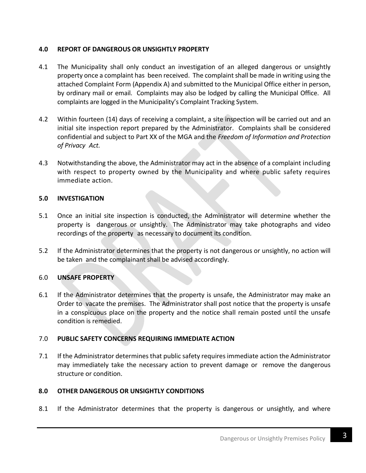# **4.0 REPORT OF DANGEROUS OR UNSIGHTLY PROPERTY**

- 4.1 The Municipality shall only conduct an investigation of an alleged dangerous or unsightly property once a complaint has been received. The complaint shall be made in writing using the attached Complaint Form (Appendix A) and submitted to the Municipal Office either in person, by ordinary mail or email. Complaints may also be lodged by calling the Municipal Office. All complaints are logged in the Municipality's Complaint Tracking System.
- 4.2 Within fourteen (14) days of receiving a complaint, a site inspection will be carried out and an initial site inspection report prepared by the Administrator. Complaints shall be considered confidential and subject to Part XX of the MGA and the *Freedom of Information and Protection of Privacy Act.*
- 4.3 Notwithstanding the above, the Administrator may act in the absence of a complaint including with respect to property owned by the Municipality and where public safety requires immediate action.

# **5.0 INVESTIGATION**

- 5.1 Once an initial site inspection is conducted, the Administrator will determine whether the property is dangerous or unsightly. The Administrator may take photographs and video recordings of the property as necessary to document its condition.
- 5.2 If the Administrator determines that the property is not dangerous or unsightly, no action will be taken and the complainant shall be advised accordingly.

# 6.0 **UNSAFE PROPERTY**

6.1 If the Administrator determines that the property is unsafe, the Administrator may make an Order to vacate the premises. The Administrator shall post notice that the property is unsafe in a conspicuous place on the property and the notice shall remain posted until the unsafe condition is remedied.

### 7.0 **PUBLIC SAFETY CONCERNS REQUIRING IMMEDIATE ACTION**

7.1 If the Administrator determines that public safety requires immediate action the Administrator may immediately take the necessary action to prevent damage or remove the dangerous structure or condition.

# **8.0 OTHER DANGEROUS OR UNSIGHTLY CONDITIONS**

8.1 If the Administrator determines that the property is dangerous or unsightly, and where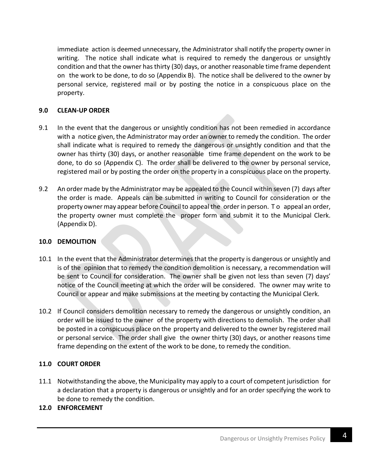immediate action is deemed unnecessary, the Administrator shall notify the property owner in writing. The notice shall indicate what is required to remedy the dangerous or unsightly condition and that the owner has thirty (30) days, or another reasonable time frame dependent on the work to be done, to do so (Appendix B). The notice shall be delivered to the owner by personal service, registered mail or by posting the notice in a conspicuous place on the property.

# **9.0 CLEAN-UP ORDER**

- 9.1 In the event that the dangerous or unsightly condition has not been remedied in accordance with a notice given, the Administrator may order an owner to remedy the condition. The order shall indicate what is required to remedy the dangerous or unsightly condition and that the owner has thirty (30) days, or another reasonable time frame dependent on the work to be done, to do so (Appendix C). The order shall be delivered to the owner by personal service, registered mail or by posting the order on the property in a conspicuous place on the property.
- 9.2 An order made by the Administrator may be appealed to the Council within seven (7) days after the order is made. Appeals can be submitted in writing to Council for consideration or the property owner may appear before Council to appeal the order in person. To appeal an order, the property owner must complete the proper form and submit it to the Municipal Clerk. (Appendix D).

### **10.0 DEMOLITION**

- 10.1 In the event that the Administrator determines that the property is dangerous or unsightly and is of the opinion that to remedy the condition demolition is necessary, a recommendation will be sent to Council for consideration. The owner shall be given not less than seven (7) days' notice of the Council meeting at which the order will be considered. The owner may write to Council or appear and make submissions at the meeting by contacting the Municipal Clerk.
- 10.2 If Council considers demolition necessary to remedy the dangerous or unsightly condition, an order will be issued to the owner of the property with directions to demolish. The order shall be posted in a conspicuous place on the property and delivered to the owner by registered mail or personal service. The order shall give the owner thirty (30) days, or another reasons time frame depending on the extent of the work to be done, to remedy the condition.

# **11.0 COURT ORDER**

11.1 Notwithstanding the above, the Municipality may apply to a court of competent jurisdiction for a declaration that a property is dangerous or unsightly and for an order specifying the work to be done to remedy the condition.

### **12.0 ENFORCEMENT**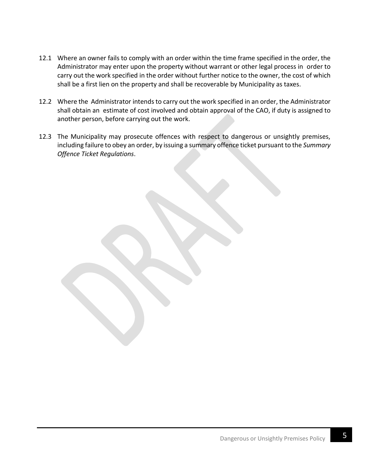- 12.1 Where an owner fails to comply with an order within the time frame specified in the order, the Administrator may enter upon the property without warrant or other legal process in order to carry out the work specified in the order without further notice to the owner, the cost of which shall be a first lien on the property and shall be recoverable by Municipality as taxes.
- 12.2 Where the Administrator intends to carry out the work specified in an order, the Administrator shall obtain an estimate of cost involved and obtain approval of the CAO, if duty is assigned to another person, before carrying out the work.
- 12.3 The Municipality may prosecute offences with respect to dangerous or unsightly premises, including failure to obey an order, by issuing a summary offence ticket pursuant to the *Summary Offence Ticket Regulations*.

**5** Dangerous or Unsightly Premises Policy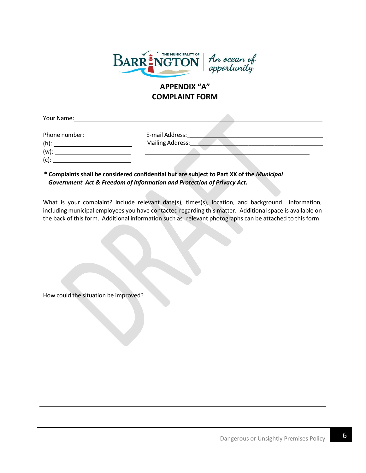

# **APPENDIX "A" COMPLAINT FORM**

Your Name:

Phone number: E-mail Address:

Mailing Address:\_\_\_\_\_\_\_\_\_\_\_\_\_\_\_\_\_\_\_\_\_\_\_\_\_\_\_\_\_\_\_\_\_\_\_\_\_\_\_\_\_

(h): (w): (c):

# **\* Complaints shall be considered confidential but are subject to Part XX of the** *Municipal*  *Government Act & Freedom of Information and Protection of Privacy Act.*

What is your complaint? Include relevant date(s), times(s), location, and background information, including municipal employees you have contacted regarding this matter. Additional space is available on the back of this form. Additional information such as relevant photographs can be attached to this form.

How could the situation be improved?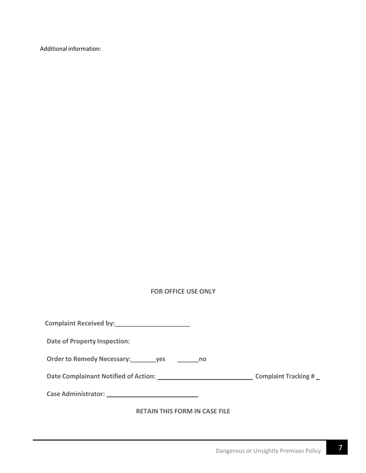Additional information:

# **FOR OFFICE USE ONLY**

| Complaint Received by:<br><u> complaint Received by:</u> |  |
|----------------------------------------------------------|--|
| <b>Date of Property Inspection:</b>                      |  |
| Order to Remedy Necessary: ________ yes __________ no    |  |
|                                                          |  |
|                                                          |  |
|                                                          |  |

### **RETAIN THIS FORM IN CASE FILE**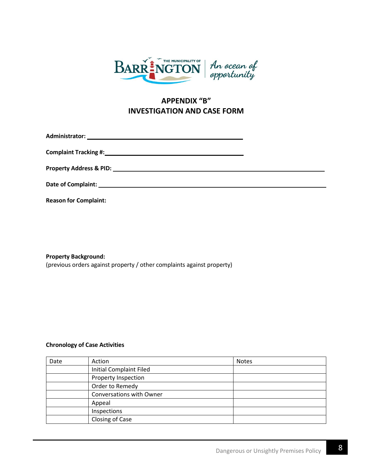

# **APPENDIX "B" INVESTIGATION AND CASE FORM**

**Administrator:** 

**Complaint Tracking #:**

**Property Address & PID:** 

**Date of Complaint:**

**Reason for Complaint:**

**Property Background:**

(previous orders against property / other complaints against property)

#### **Chronology of Case Activities**

| Date | Action                         | <b>Notes</b> |
|------|--------------------------------|--------------|
|      | <b>Initial Complaint Filed</b> |              |
|      | Property Inspection            |              |
|      | Order to Remedy                |              |
|      | Conversations with Owner       |              |
|      | Appeal                         |              |
|      | Inspections                    |              |
|      | Closing of Case                |              |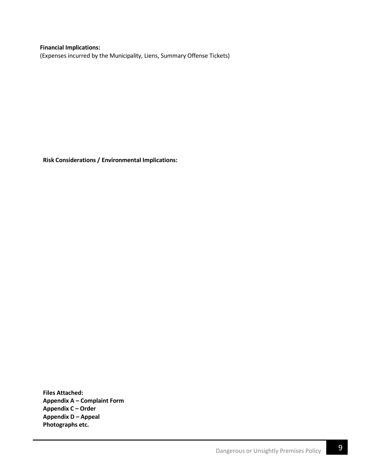**Financial Implications:** (Expenses incurred by the Municipality, Liens, Summary Offense Tickets)

**Risk Considerations / Environmental Implications:**

**Files Attached: Appendix A – Complaint Form Appendix C – Order Appendix D – Appeal Photographs etc.**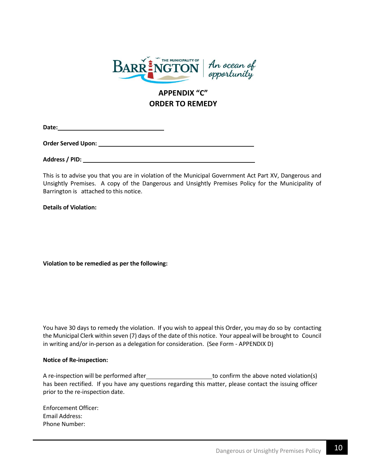

# **APPENDIX "C" ORDER TO REMEDY**

**Date:** <u> 1980 - Johann Barn, mars an t-Amerikaansk kommunister (</u>

**Order Served Upon:** 

**Address / PID:**

This is to advise you that you are in violation of the Municipal Government Act Part XV, Dangerous and Unsightly Premises. A copy of the Dangerous and Unsightly Premises Policy for the Municipality of Barrington is attached to this notice.

**Details of Violation:**

**Violation to be remedied as per the following:**

You have 30 days to remedy the violation. If you wish to appeal this Order, you may do so by contacting the Municipal Clerk within seven (7) days of the date of this notice. Your appeal will be brought to Council in writing and/or in-person as a delegation for consideration. (See Form - APPENDIX D)

#### **Notice of Re-inspection:**

A re-inspection will be performed after the state to confirm the above noted violation(s) has been rectified. If you have any questions regarding this matter, please contact the issuing officer prior to the re-inspection date.

Enforcement Officer: Email Address: Phone Number: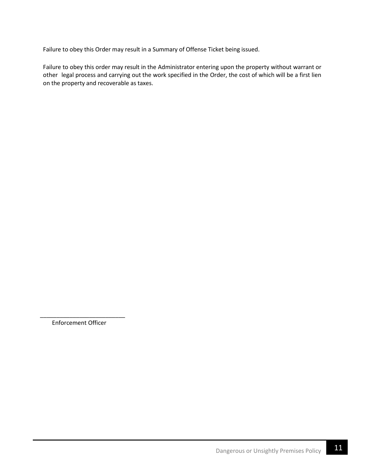Failure to obey this Order may result in a Summary of Offense Ticket being issued.

Failure to obey this order may result in the Administrator entering upon the property without warrant or other legal process and carrying out the work specified in the Order, the cost of which will be a first lien on the property and recoverable as taxes.

\_\_\_\_\_\_\_\_\_\_\_\_\_\_\_\_\_\_\_\_\_\_\_\_\_\_ Enforcement Officer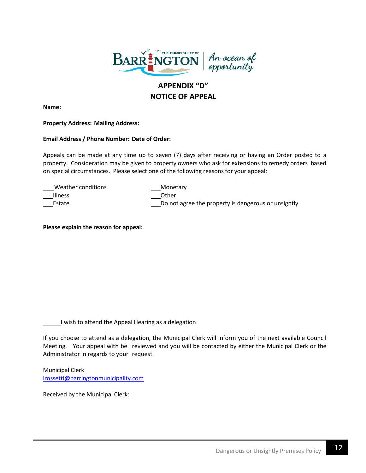

# **APPENDIX "D" NOTICE OF APPEAL**

**Name:**

#### **Property Address: Mailing Address:**

#### **Email Address / Phone Number: Date of Order:**

Appeals can be made at any time up to seven (7) days after receiving or having an Order posted to a property. Consideration may be given to property owners who ask for extensions to remedy orders based on special circumstances. Please select one of the following reasons for your appeal:

| Weather conditions | Monetary                                            |
|--------------------|-----------------------------------------------------|
| <b>Illness</b>     | Other                                               |
| Estate             | Do not agree the property is dangerous or unsightly |

**Please explain the reason for appeal:**

I wish to attend the Appeal Hearing as a delegation

If you choose to attend as a delegation, the Municipal Clerk will inform you of the next available Council Meeting. Your appeal with be reviewed and you will be contacted by either the Municipal Clerk or the Administrator in regards to your request.

Municipal Clerk [lrossetti@barringtonmunicipality.com](mailto:lrossetti@barringtonmunicipality.com)

Received by the Municipal Clerk: